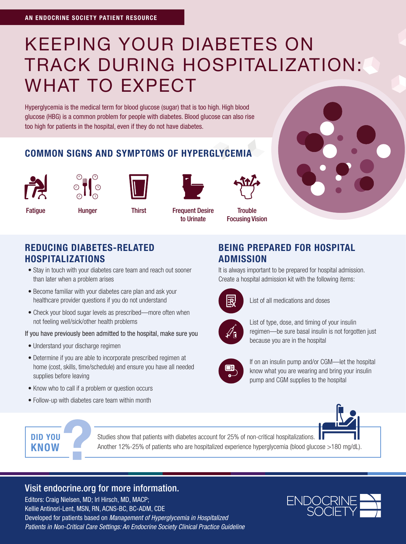# KEEPING YOUR DIABETES ON TRACK DURING HOSPITALIZATION: WHAT TO EXPECT

Hyperglycemia is the medical term for blood glucose (sugar) that is too high. High blood glucose (HBG) is a common problem for people with diabetes. Blood glucose can also rise too high for patients in the hospital, even if they do not have diabetes.

#### COMMON SIGNS AND SYMPTOMS OF HYPERGLYCEMIA









Fatigue Hunger Thirst Frequent Desire to Urinate

**Trouble** Focusing Vision

#### REDUCING DIABETES-RELATED HOSPITALIZATIONS

- Stay in touch with your diabetes care team and reach out sooner than later when a problem arises
- Become familiar with your diabetes care plan and ask your healthcare provider questions if you do not understand
- Check your blood sugar levels as prescribed—more often when not feeling well/sick/other health problems

#### If you have previously been admitted to the hospital, make sure you

- Understand your discharge regimen
- Determine if you are able to incorporate prescribed regimen at home (cost, skills, time/schedule) and ensure you have all needed supplies before leaving
- Know who to call if a problem or question occurs
- Follow-up with diabetes care team within month

#### BEING PREPARED FOR HOSPITAL ADMISSION

It is always important to be prepared for hospital admission. Create a hospital admission kit with the following items:



List of all medications and doses



 List of type, dose, and timing of your insulin regimen—be sure basal insulin is not forgotten just because you are in the hospital



 If on an insulin pump and/or CGM—let the hospital know what you are wearing and bring your insulin pump and CGM supplies to the hospital





Studies show that patients with diabetes account for 25% of non-critical hospitalizations. Another 12%-25% of patients who are hospitalized experience hyperglycemia (blood glucose >180 mg/dL).

## Visit endocrine.org for more information.

Editors: Craig Nielsen, MD; Irl Hirsch, MD, MACP; Kellie Antinori-Lent, MSN, RN, ACNS-BC, BC-ADM, CDE Developed for patients based on *Management of Hyperglycemia in Hospitalized Patients in Non-Critical Care Settings: An Endocrine Society Clinical Practice Guideline*